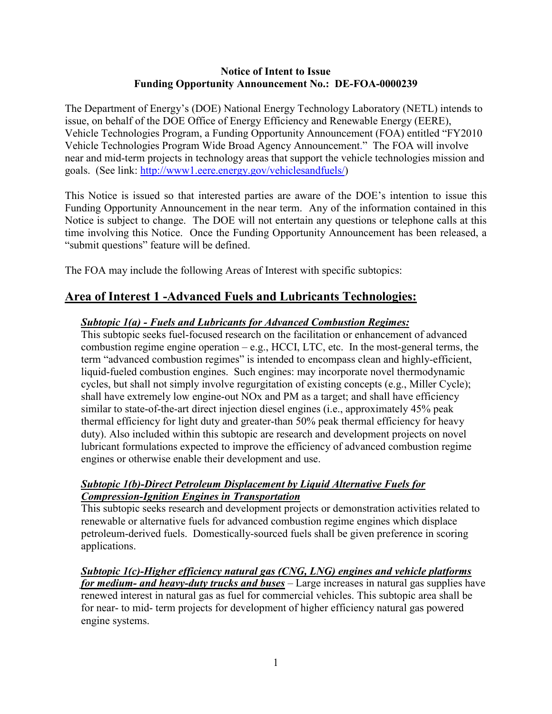#### **Notice of Intent to Issue Funding Opportunity Announcement No.: DE-FOA-0000239**

 The Department of Energy's (DOE) National Energy Technology Laboratory (NETL) intends to issue, on behalf of the DOE Office of Energy Efficiency and Renewable Energy (EERE), Vehicle Technologies Program, a Funding Opportunity Announcement (FOA) entitled "FY2010 Vehicle Technologies Program Wide Broad Agency Announcement." The FOA will involve near and mid-term projects in technology areas that support the vehicle technologies mission and goals. (See link: http://www1.eere.energy.gov/vehiclesandfuels/)

This Notice is issued so that interested parties are aware of the DOE's intention to issue this Funding Opportunity Announcement in the near term. Any of the information contained in this Notice is subject to change. The DOE will not entertain any questions or telephone calls at this time involving this Notice. Once the Funding Opportunity Announcement has been released, a "submit questions" feature will be defined.

The FOA may include the following Areas of Interest with specific subtopics:

## **Area of Interest 1 -Advanced Fuels and Lubricants Technologies:**

#### *Subtopic 1(a) - Fuels and Lubricants for Advanced Combustion Regimes:*

 thermal efficiency for light duty and greater-than 50% peak thermal efficiency for heavy This subtopic seeks fuel-focused research on the facilitation or enhancement of advanced combustion regime engine operation  $-e.g.,$  HCCI, LTC, etc. In the most-general terms, the term "advanced combustion regimes" is intended to encompass clean and highly-efficient, liquid-fueled combustion engines. Such engines: may incorporate novel thermodynamic cycles, but shall not simply involve regurgitation of existing concepts (e.g., Miller Cycle); shall have extremely low engine-out NOx and PM as a target; and shall have efficiency similar to state-of-the-art direct injection diesel engines (i.e., approximately 45% peak duty). Also included within this subtopic are research and development projects on novel lubricant formulations expected to improve the efficiency of advanced combustion regime engines or otherwise enable their development and use.

#### *Subtopic 1(b)-Direct Petroleum Displacement by Liquid Alternative Fuels for Compression-Ignition Engines in Transportation*

This subtopic seeks research and development projects or demonstration activities related to renewable or alternative fuels for advanced combustion regime engines which displace petroleum-derived fuels. Domestically-sourced fuels shall be given preference in scoring applications.

*Subtopic 1(c)-Higher efficiency natural gas (CNG, LNG) engines and vehicle platforms for medium- and heavy-duty trucks and buses* – Large increases in natural gas supplies have renewed interest in natural gas as fuel for commercial vehicles. This subtopic area shall be for near- to mid- term projects for development of higher efficiency natural gas powered engine systems.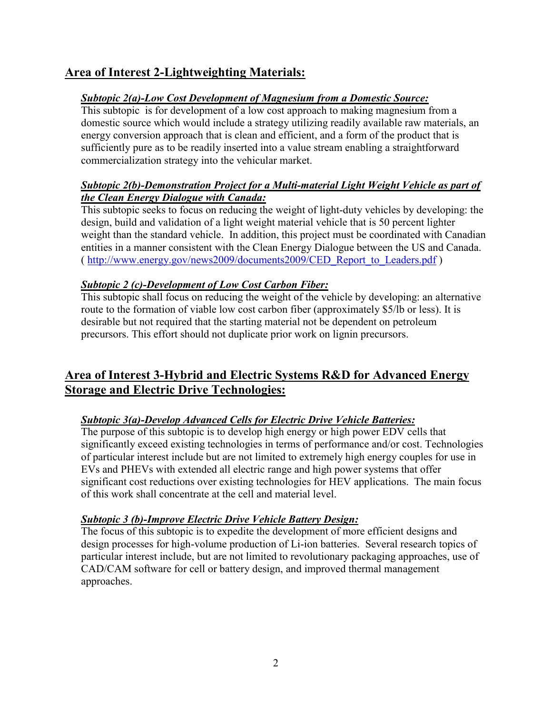# **Area of Interest 2-Lightweighting Materials:**

## *Subtopic 2(a)-Low Cost Development of Magnesium from a Domestic Source:*

This subtopic is for development of a low cost approach to making magnesium from a domestic source which would include a strategy utilizing readily available raw materials, an energy conversion approach that is clean and efficient, and a form of the product that is sufficiently pure as to be readily inserted into a value stream enabling a straightforward commercialization strategy into the vehicular market.

### *Subtopic 2(b)-Demonstration Project for a Multi-material Light Weight Vehicle as part of the Clean Energy Dialogue with Canada:*

This subtopic seeks to focus on reducing the weight of light-duty vehicles by developing: the design, build and validation of a light weight material vehicle that is 50 percent lighter weight than the standard vehicle. In addition, this project must be coordinated with Canadian entities in a manner consistent with the Clean Energy Dialogue between the US and Canada. ( http://www.energy.gov/news2009/documents2009/CED\_Report\_to\_Leaders.pdf )

### *Subtopic 2 (c)-Development of Low Cost Carbon Fiber:*

This subtopic shall focus on reducing the weight of the vehicle by developing: an alternative route to the formation of viable low cost carbon fiber (approximately \$5/lb or less). It is desirable but not required that the starting material not be dependent on petroleum precursors. This effort should not duplicate prior work on lignin precursors.

## **Area of Interest 3-Hybrid and Electric Systems R&D for Advanced Energy Storage and Electric Drive Technologies:**

## *Subtopic 3(a)-Develop Advanced Cells for Electric Drive Vehicle Batteries:*

The purpose of this subtopic is to develop high energy or high power EDV cells that significantly exceed existing technologies in terms of performance and/or cost. Technologies of particular interest include but are not limited to extremely high energy couples for use in EVs and PHEVs with extended all electric range and high power systems that offer significant cost reductions over existing technologies for HEV applications. The main focus of this work shall concentrate at the cell and material level.

### *Subtopic 3 (b)-Improve Electric Drive Vehicle Battery Design:*

The focus of this subtopic is to expedite the development of more efficient designs and design processes for high-volume production of Li-ion batteries. Several research topics of particular interest include, but are not limited to revolutionary packaging approaches, use of CAD/CAM software for cell or battery design, and improved thermal management approaches.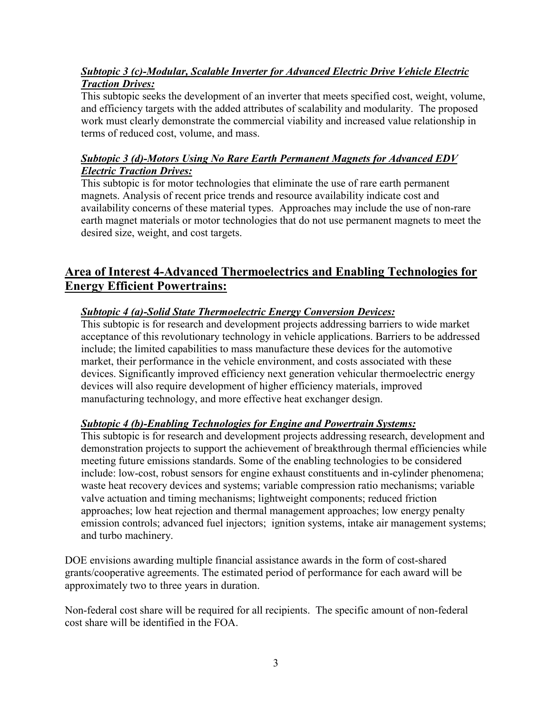## *Subtopic 3 (c)-Modular, Scalable Inverter for Advanced Electric Drive Vehicle Electric Traction Drives:*

This subtopic seeks the development of an inverter that meets specified cost, weight, volume, and efficiency targets with the added attributes of scalability and modularity. The proposed work must clearly demonstrate the commercial viability and increased value relationship in terms of reduced cost, volume, and mass.

### *Subtopic 3 (d)-Motors Using No Rare Earth Permanent Magnets for Advanced EDV Electric Traction Drives:*

 availability concerns of these material types. Approaches may include the use of non-rare This subtopic is for motor technologies that eliminate the use of rare earth permanent magnets. Analysis of recent price trends and resource availability indicate cost and earth magnet materials or motor technologies that do not use permanent magnets to meet the desired size, weight, and cost targets.

# **Energy Efficient Powertrains: Area of Interest 4-Advanced Thermoelectrics and Enabling Technologies for**

## *Subtopic 4 (a)-Solid State Thermoelectric Energy Conversion Devices:*

 include; the limited capabilities to mass manufacture these devices for the automotive devices. Significantly improved efficiency next generation vehicular thermoelectric energy This subtopic is for research and development projects addressing barriers to wide market acceptance of this revolutionary technology in vehicle applications. Barriers to be addressed market, their performance in the vehicle environment, and costs associated with these devices will also require development of higher efficiency materials, improved manufacturing technology, and more effective heat exchanger design.

### *Subtopic 4 (b)-Enabling Technologies for Engine and Powertrain Systems:*

This subtopic is for research and development projects addressing research, development and demonstration projects to support the achievement of breakthrough thermal efficiencies while meeting future emissions standards. Some of the enabling technologies to be considered include: low-cost, robust sensors for engine exhaust constituents and in-cylinder phenomena; waste heat recovery devices and systems; variable compression ratio mechanisms; variable valve actuation and timing mechanisms; lightweight components; reduced friction approaches; low heat rejection and thermal management approaches; low energy penalty emission controls; advanced fuel injectors; ignition systems, intake air management systems; and turbo machinery.

DOE envisions awarding multiple financial assistance awards in the form of cost-shared grants/cooperative agreements. The estimated period of performance for each award will be approximately two to three years in duration.

Non-federal cost share will be required for all recipients. The specific amount of non-federal cost share will be identified in the FOA.